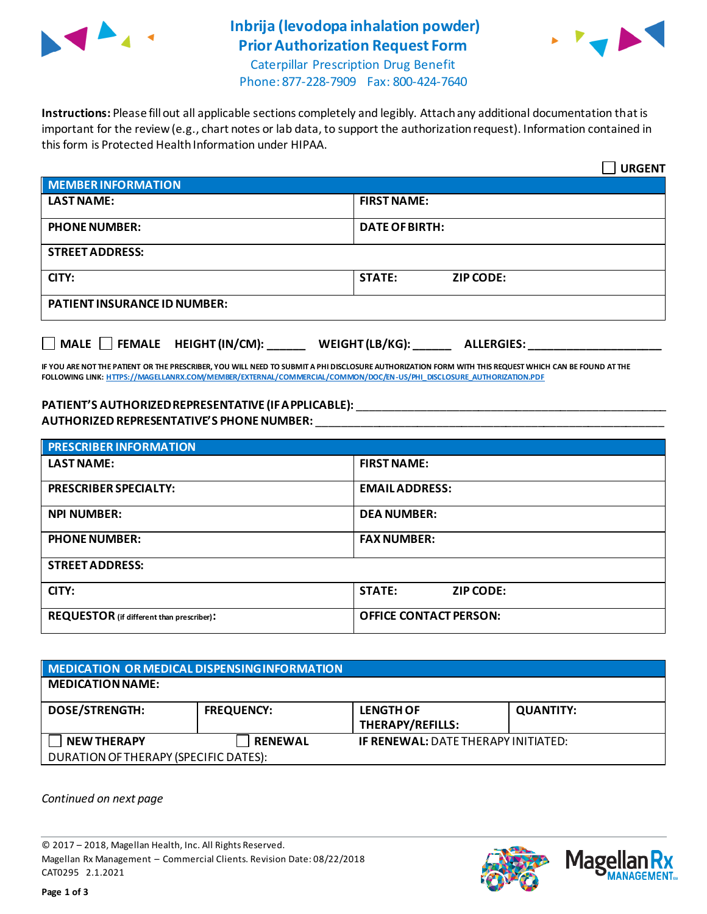

## **Inbrija (levodopa inhalation powder) Prior Authorization Request Form**



Caterpillar Prescription Drug Benefit Phone: 877-228-7909 Fax: 800-424-7640

**Instructions:** Please fill out all applicable sections completely and legibly. Attach any additional documentation that is important for the review (e.g., chart notes or lab data, to support the authorization request). Information contained in this form is Protected Health Information under HIPAA.

|                                                                                   | <b>URGENT</b>                     |  |  |
|-----------------------------------------------------------------------------------|-----------------------------------|--|--|
| <b>MEMBER INFORMATION</b>                                                         |                                   |  |  |
| <b>LAST NAME:</b>                                                                 | <b>FIRST NAME:</b>                |  |  |
| <b>PHONE NUMBER:</b>                                                              | <b>DATE OF BIRTH:</b>             |  |  |
| <b>STREET ADDRESS:</b>                                                            |                                   |  |  |
| CITY:                                                                             | <b>STATE:</b><br><b>ZIP CODE:</b> |  |  |
| <b>PATIENT INSURANCE ID NUMBER:</b>                                               |                                   |  |  |
| $\Box$ MALE $\Box$ FEMALE HEIGHT (IN/CM):<br>WEIGHT (LB/KG):<br><b>ALLERGIES:</b> |                                   |  |  |

**IF YOU ARE NOT THE PATIENT OR THE PRESCRIBER, YOU WILL NEED TO SUBMIT A PHI DISCLOSURE AUTHORIZATION FORM WITH THIS REQUEST WHICH CAN BE FOUND AT THE FOLLOWING LINK[: HTTPS://MAGELLANRX.COM/MEMBER/EXTERNAL/COMMERCIAL/COMMON/DOC/EN-US/PHI\\_DISCLOSURE\\_AUTHORIZATION.PDF](https://magellanrx.com/member/external/commercial/common/doc/en-us/PHI_Disclosure_Authorization.pdf)**

### **PATIENT'S AUTHORIZED REPRESENTATIVE (IF APPLICABLE):** \_\_\_\_\_\_\_\_\_\_\_\_\_\_\_\_\_\_\_\_\_\_\_\_\_\_\_\_\_\_\_\_\_\_\_\_\_\_\_\_\_\_\_\_\_\_\_\_\_ **AUTHORIZED REPRESENTATIVE'S PHONE NUMBER:** \_\_\_\_\_\_\_\_\_\_\_\_\_\_\_\_\_\_\_\_\_\_\_\_\_\_\_\_\_\_\_\_\_\_\_\_\_\_\_\_\_\_\_\_\_\_\_\_\_\_\_\_\_\_\_

| <b>PRESCRIBER INFORMATION</b>                    |                               |  |  |
|--------------------------------------------------|-------------------------------|--|--|
| <b>LAST NAME:</b>                                | <b>FIRST NAME:</b>            |  |  |
| <b>PRESCRIBER SPECIALTY:</b>                     | <b>EMAIL ADDRESS:</b>         |  |  |
| <b>NPI NUMBER:</b>                               | <b>DEA NUMBER:</b>            |  |  |
| <b>PHONE NUMBER:</b>                             | <b>FAX NUMBER:</b>            |  |  |
| <b>STREET ADDRESS:</b>                           |                               |  |  |
| CITY:                                            | <b>STATE:</b><br>ZIP CODE:    |  |  |
| <b>REQUESTOR</b> (if different than prescriber): | <b>OFFICE CONTACT PERSON:</b> |  |  |

| MEDICATION OR MEDICAL DISPENSING INFORMATION |                   |                                             |                  |  |  |
|----------------------------------------------|-------------------|---------------------------------------------|------------------|--|--|
| <b>MEDICATION NAME:</b>                      |                   |                                             |                  |  |  |
| <b>DOSE/STRENGTH:</b>                        | <b>FREQUENCY:</b> | <b>LENGTH OF</b><br><b>THERAPY/REFILLS:</b> | <b>QUANTITY:</b> |  |  |
| <b>NEW THERAPY</b>                           | <b>RENEWAL</b>    | <b>IF RENEWAL: DATE THERAPY INITIATED:</b>  |                  |  |  |
| DURATION OF THERAPY (SPECIFIC DATES):        |                   |                                             |                  |  |  |

*Continued on next page*

© 2017 – 2018, Magellan Health, Inc. All Rights Reserved. Magellan Rx Management – Commercial Clients. Revision Date: 08/22/2018 CAT0295 2.1.2021



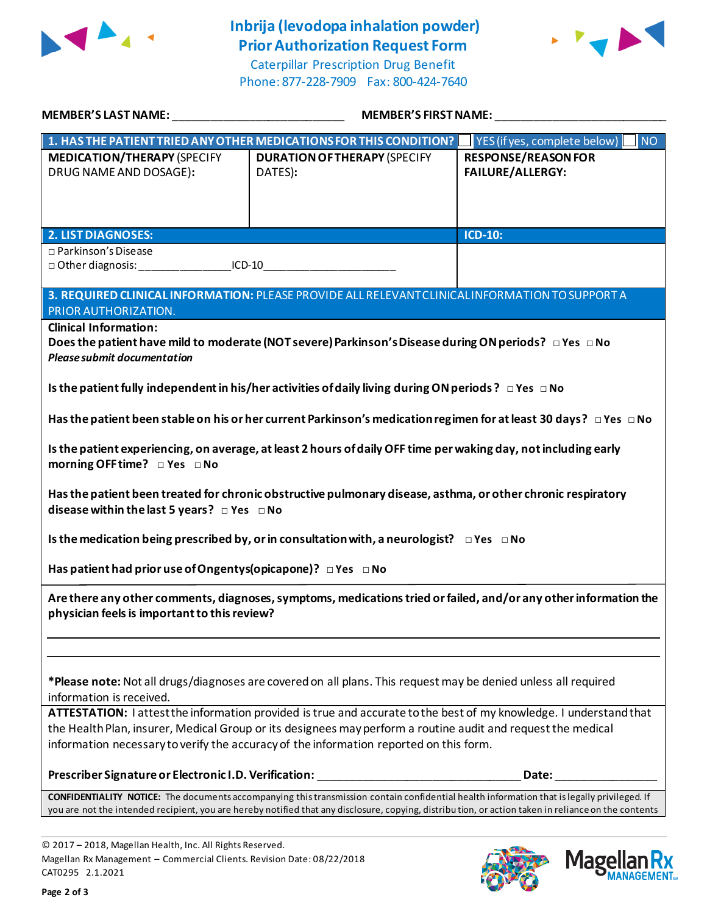

# **Inbrija (levodopa inhalation powder) Prior Authorization Request Form**

Caterpillar Prescription Drug Benefit Phone: 877-228-7909 Fax: 800-424-7640



| MEMBER'S LAST NAME: ______________________________                                                                                         | <b>MEMBER'S FIRST NAME:</b>                                                                                                                         |                                           |  |  |
|--------------------------------------------------------------------------------------------------------------------------------------------|-----------------------------------------------------------------------------------------------------------------------------------------------------|-------------------------------------------|--|--|
|                                                                                                                                            | 1. HAS THE PATIENT TRIED ANY OTHER MEDICATIONS FOR THIS CONDITION?                                                                                  | YES (if yes, complete below)<br><b>NO</b> |  |  |
| <b>MEDICATION/THERAPY (SPECIFY</b>                                                                                                         | <b>DURATION OF THERAPY (SPECIFY</b>                                                                                                                 | <b>RESPONSE/REASON FOR</b>                |  |  |
| DRUG NAME AND DOSAGE):                                                                                                                     | DATES):                                                                                                                                             | <b>FAILURE/ALLERGY:</b>                   |  |  |
|                                                                                                                                            |                                                                                                                                                     |                                           |  |  |
|                                                                                                                                            |                                                                                                                                                     |                                           |  |  |
|                                                                                                                                            |                                                                                                                                                     |                                           |  |  |
| <b>2. LIST DIAGNOSES:</b>                                                                                                                  |                                                                                                                                                     | ICD-10:                                   |  |  |
| □ Parkinson's Disease<br>□ Other diagnosis: ___________________ICD-10___________________________________                                   |                                                                                                                                                     |                                           |  |  |
|                                                                                                                                            |                                                                                                                                                     |                                           |  |  |
|                                                                                                                                            | 3. REQUIRED CLINICAL INFORMATION: PLEASE PROVIDE ALL RELEVANT CLINICAL INFORMATION TO SUPPORT A                                                     |                                           |  |  |
| PRIOR AUTHORIZATION.                                                                                                                       |                                                                                                                                                     |                                           |  |  |
| <b>Clinical Information:</b>                                                                                                               |                                                                                                                                                     |                                           |  |  |
|                                                                                                                                            | Does the patient have mild to moderate (NOT severe) Parkinson's Disease during ON periods? □ Yes □ No                                               |                                           |  |  |
| <b>Please submit documentation</b>                                                                                                         |                                                                                                                                                     |                                           |  |  |
|                                                                                                                                            | Is the patient fully independent in his/her activities of daily living during ON periods? $\Box$ Yes $\Box$ No                                      |                                           |  |  |
|                                                                                                                                            |                                                                                                                                                     |                                           |  |  |
|                                                                                                                                            | Has the patient been stable on his or her current Parkinson's medication regimen for at least 30 days? $\Box$ Yes $\Box$ No                         |                                           |  |  |
|                                                                                                                                            | Is the patient experiencing, on average, at least 2 hours of daily OFF time per waking day, not including early                                     |                                           |  |  |
| morning OFF time? □ Yes □ No                                                                                                               |                                                                                                                                                     |                                           |  |  |
|                                                                                                                                            |                                                                                                                                                     |                                           |  |  |
|                                                                                                                                            | Has the patient been treated for chronic obstructive pulmonary disease, asthma, or other chronic respiratory                                        |                                           |  |  |
| disease within the last 5 years? $\Box$ Yes $\Box$ No                                                                                      |                                                                                                                                                     |                                           |  |  |
|                                                                                                                                            | Is the medication being prescribed by, or in consultation with, a neurologist? $\Box$ Yes $\Box$ No                                                 |                                           |  |  |
| Has patient had prior use of Ongentys (opicapone)? DYes DNo                                                                                |                                                                                                                                                     |                                           |  |  |
|                                                                                                                                            | Are there any other comments, diagnoses, symptoms, medications tried or failed, and/or any other information the                                    |                                           |  |  |
| physician feels is important to this review?                                                                                               |                                                                                                                                                     |                                           |  |  |
|                                                                                                                                            |                                                                                                                                                     |                                           |  |  |
|                                                                                                                                            |                                                                                                                                                     |                                           |  |  |
|                                                                                                                                            |                                                                                                                                                     |                                           |  |  |
| *Please note: Not all drugs/diagnoses are covered on all plans. This request may be denied unless all required<br>information is received. |                                                                                                                                                     |                                           |  |  |
| ATTESTATION: I attest the information provided is true and accurate to the best of my knowledge. I understand that                         |                                                                                                                                                     |                                           |  |  |
| the Health Plan, insurer, Medical Group or its designees may perform a routine audit and request the medical                               |                                                                                                                                                     |                                           |  |  |
| information necessary to verify the accuracy of the information reported on this form.                                                     |                                                                                                                                                     |                                           |  |  |
|                                                                                                                                            |                                                                                                                                                     |                                           |  |  |
| Prescriber Signature or Electronic I.D. Verification:                                                                                      |                                                                                                                                                     | Date:                                     |  |  |
|                                                                                                                                            | CONFIDENTIALITY NOTICE: The documents accompanying this transmission contain confidential health information that is legally privileged. If         |                                           |  |  |
|                                                                                                                                            | you are not the intended recipient, you are hereby notified that any disclosure, copying, distribution, or action taken in reliance on the contents |                                           |  |  |
|                                                                                                                                            |                                                                                                                                                     |                                           |  |  |

© 2017 – 2018, Magellan Health, Inc. All Rights Reserved. Magellan Rx Management – Commercial Clients. Revision Date: 08/22/2018 CAT0295 2.1.2021